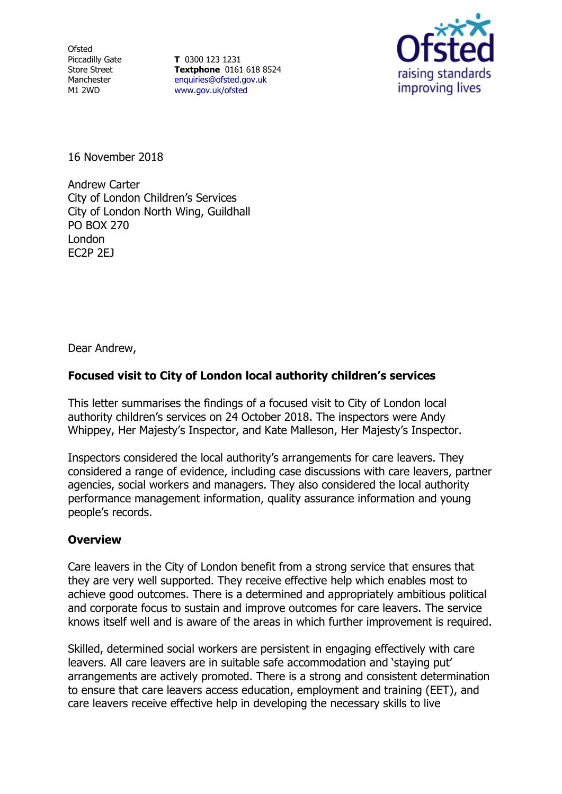**Ofsted** Piccadilly Gate Store Street Manchester M1 2WD

**T** 0300 123 1231 **Textphone** 0161 618 8524 [enquiries@ofsted.gov.uk](file:///D:/CACI/LIVE/OBDATA/G1/P1/L1/OB_LIVE/_PH_/enquiries@ofsted.gov.uk) [www.gov.uk/ofsted](file:///D:/CACI/LIVE/OBDATA/G1/P1/L1/OB_LIVE/_PH_/www.gov.uk/ofsted)



16 November 2018

Andrew Carter City of London Children's Services City of London North Wing, Guildhall PO BOX 270 London EC2P 2EJ

Dear Andrew,

## **Focused visit to City of London local authority children's services**

This letter summarises the findings of a focused visit to City of London local authority children's services on 24 October 2018. The inspectors were Andy Whippey, Her Majesty's Inspector, and Kate Malleson, Her Majesty's Inspector.

Inspectors considered the local authority's arrangements for care leavers. They considered a range of evidence, including case discussions with care leavers, partner agencies, social workers and managers. They also considered the local authority performance management information, quality assurance information and young people's records.

## **Overview**

Care leavers in the City of London benefit from a strong service that ensures that they are very well supported. They receive effective help which enables most to achieve good outcomes. There is a determined and appropriately ambitious political and corporate focus to sustain and improve outcomes for care leavers. The service knows itself well and is aware of the areas in which further improvement is required.

Skilled, determined social workers are persistent in engaging effectively with care leavers. All care leavers are in suitable safe accommodation and 'staying put' arrangements are actively promoted. There is a strong and consistent determination to ensure that care leavers access education, employment and training (EET), and care leavers receive effective help in developing the necessary skills to live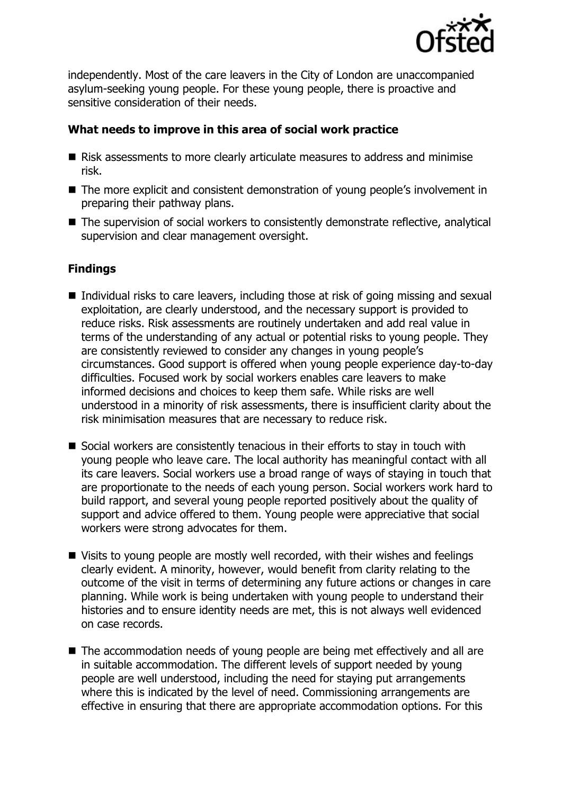

independently. Most of the care leavers in the City of London are unaccompanied asylum-seeking young people. For these young people, there is proactive and sensitive consideration of their needs.

## **What needs to improve in this area of social work practice**

- Risk assessments to more clearly articulate measures to address and minimise risk.
- The more explicit and consistent demonstration of young people's involvement in preparing their pathway plans.
- The supervision of social workers to consistently demonstrate reflective, analytical supervision and clear management oversight.

## **Findings**

- $\blacksquare$  Individual risks to care leavers, including those at risk of going missing and sexual exploitation, are clearly understood, and the necessary support is provided to reduce risks. Risk assessments are routinely undertaken and add real value in terms of the understanding of any actual or potential risks to young people. They are consistently reviewed to consider any changes in young people's circumstances. Good support is offered when young people experience day-to-day difficulties. Focused work by social workers enables care leavers to make informed decisions and choices to keep them safe. While risks are well understood in a minority of risk assessments, there is insufficient clarity about the risk minimisation measures that are necessary to reduce risk.
- Social workers are consistently tenacious in their efforts to stay in touch with young people who leave care. The local authority has meaningful contact with all its care leavers. Social workers use a broad range of ways of staying in touch that are proportionate to the needs of each young person. Social workers work hard to build rapport, and several young people reported positively about the quality of support and advice offered to them. Young people were appreciative that social workers were strong advocates for them.
- Visits to young people are mostly well recorded, with their wishes and feelings clearly evident. A minority, however, would benefit from clarity relating to the outcome of the visit in terms of determining any future actions or changes in care planning. While work is being undertaken with young people to understand their histories and to ensure identity needs are met, this is not always well evidenced on case records.
- The accommodation needs of young people are being met effectively and all are in suitable accommodation. The different levels of support needed by young people are well understood, including the need for staying put arrangements where this is indicated by the level of need. Commissioning arrangements are effective in ensuring that there are appropriate accommodation options. For this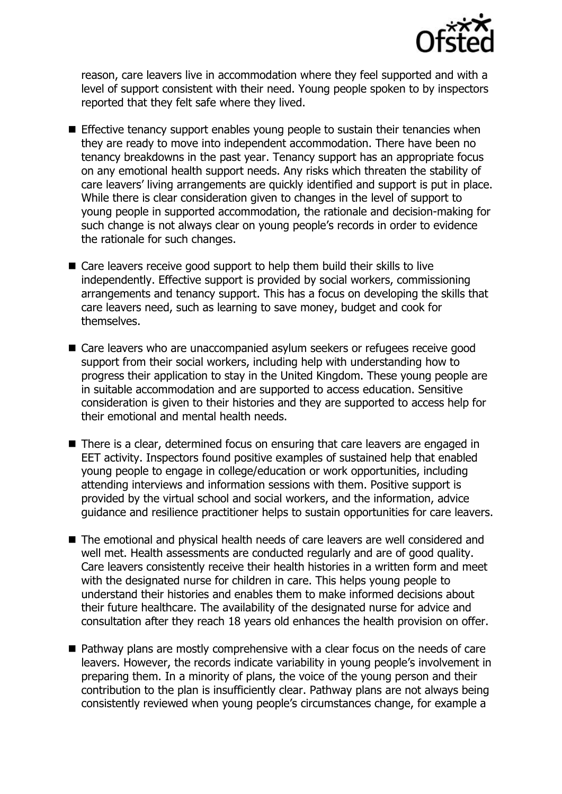

reason, care leavers live in accommodation where they feel supported and with a level of support consistent with their need. Young people spoken to by inspectors reported that they felt safe where they lived.

- **Effective tenancy support enables young people to sustain their tenancies when** they are ready to move into independent accommodation. There have been no tenancy breakdowns in the past year. Tenancy support has an appropriate focus on any emotional health support needs. Any risks which threaten the stability of care leavers' living arrangements are quickly identified and support is put in place. While there is clear consideration given to changes in the level of support to young people in supported accommodation, the rationale and decision-making for such change is not always clear on young people's records in order to evidence the rationale for such changes.
- Care leavers receive good support to help them build their skills to live independently. Effective support is provided by social workers, commissioning arrangements and tenancy support. This has a focus on developing the skills that care leavers need, such as learning to save money, budget and cook for themselves.
- Care leavers who are unaccompanied asylum seekers or refugees receive good support from their social workers, including help with understanding how to progress their application to stay in the United Kingdom. These young people are in suitable accommodation and are supported to access education. Sensitive consideration is given to their histories and they are supported to access help for their emotional and mental health needs.
- There is a clear, determined focus on ensuring that care leavers are engaged in EET activity. Inspectors found positive examples of sustained help that enabled young people to engage in college/education or work opportunities, including attending interviews and information sessions with them. Positive support is provided by the virtual school and social workers, and the information, advice guidance and resilience practitioner helps to sustain opportunities for care leavers.
- The emotional and physical health needs of care leavers are well considered and well met. Health assessments are conducted regularly and are of good quality. Care leavers consistently receive their health histories in a written form and meet with the designated nurse for children in care. This helps young people to understand their histories and enables them to make informed decisions about their future healthcare. The availability of the designated nurse for advice and consultation after they reach 18 years old enhances the health provision on offer.
- Pathway plans are mostly comprehensive with a clear focus on the needs of care leavers. However, the records indicate variability in young people's involvement in preparing them. In a minority of plans, the voice of the young person and their contribution to the plan is insufficiently clear. Pathway plans are not always being consistently reviewed when young people's circumstances change, for example a